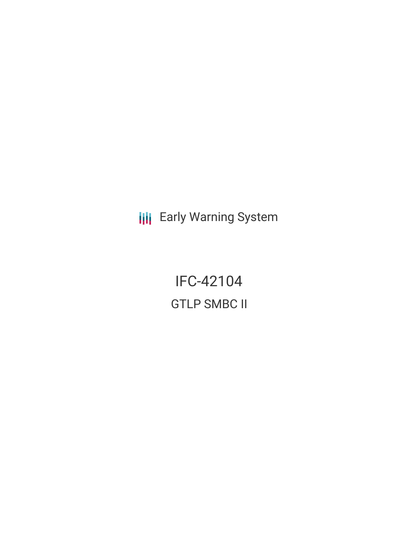**III** Early Warning System

IFC-42104 GTLP SMBC II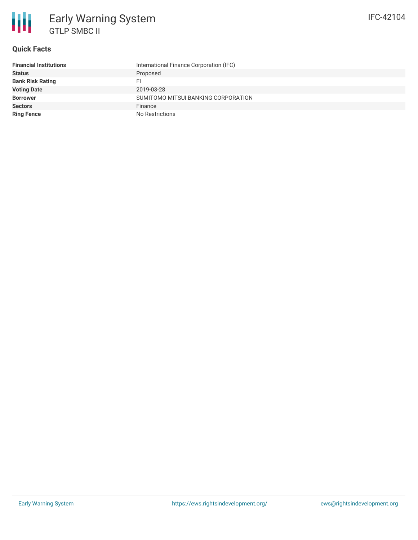

## **Quick Facts**

| <b>Financial Institutions</b> | International Finance Corporation (IFC) |
|-------------------------------|-----------------------------------------|
| <b>Status</b>                 | Proposed                                |
| <b>Bank Risk Rating</b>       |                                         |
| <b>Voting Date</b>            | 2019-03-28                              |
| <b>Borrower</b>               | SUMITOMO MITSUI BANKING CORPORATION     |
| <b>Sectors</b>                | Finance                                 |
| <b>Ring Fence</b>             | No Restrictions                         |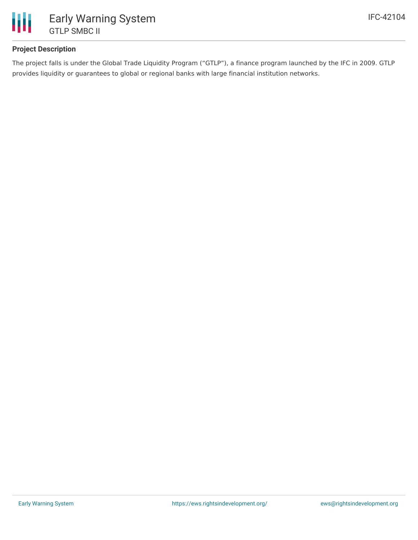

## **Project Description**

The project falls is under the Global Trade Liquidity Program ("GTLP"), a finance program launched by the IFC in 2009. GTLP provides liquidity or guarantees to global or regional banks with large financial institution networks.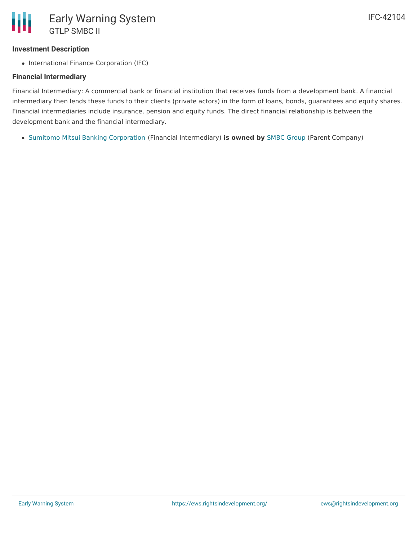## **Investment Description**

• International Finance Corporation (IFC)

## **Financial Intermediary**

Financial Intermediary: A commercial bank or financial institution that receives funds from a development bank. A financial intermediary then lends these funds to their clients (private actors) in the form of loans, bonds, guarantees and equity shares. Financial intermediaries include insurance, pension and equity funds. The direct financial relationship is between the development bank and the financial intermediary.

Sumitomo Mitsui Banking [Corporation](file:///actor/1018/) (Financial Intermediary) **is owned by** SMBC [Group](file:///actor/3561/) (Parent Company)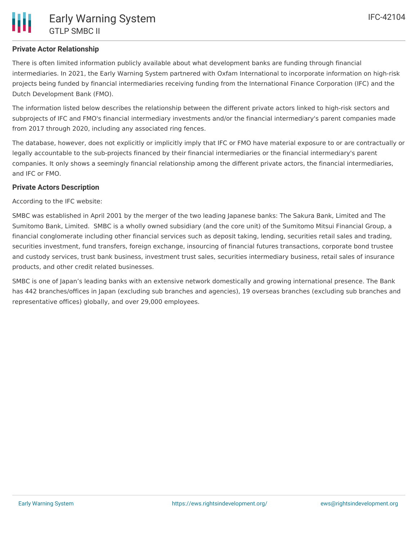## **Private Actor Relationship**

There is often limited information publicly available about what development banks are funding through financial intermediaries. In 2021, the Early Warning System partnered with Oxfam International to incorporate information on high-risk projects being funded by financial intermediaries receiving funding from the International Finance Corporation (IFC) and the Dutch Development Bank (FMO).

The information listed below describes the relationship between the different private actors linked to high-risk sectors and subprojects of IFC and FMO's financial intermediary investments and/or the financial intermediary's parent companies made from 2017 through 2020, including any associated ring fences.

The database, however, does not explicitly or implicitly imply that IFC or FMO have material exposure to or are contractually or legally accountable to the sub-projects financed by their financial intermediaries or the financial intermediary's parent companies. It only shows a seemingly financial relationship among the different private actors, the financial intermediaries, and IFC or FMO.

## **Private Actors Description**

According to the IFC website:

SMBC was established in April 2001 by the merger of the two leading Japanese banks: The Sakura Bank, Limited and The Sumitomo Bank, Limited. SMBC is a wholly owned subsidiary (and the core unit) of the Sumitomo Mitsui Financial Group, a financial conglomerate including other financial services such as deposit taking, lending, securities retail sales and trading, securities investment, fund transfers, foreign exchange, insourcing of financial futures transactions, corporate bond trustee and custody services, trust bank business, investment trust sales, securities intermediary business, retail sales of insurance products, and other credit related businesses.

SMBC is one of Japan's leading banks with an extensive network domestically and growing international presence. The Bank has 442 branches/offices in Japan (excluding sub branches and agencies), 19 overseas branches (excluding sub branches and representative offices) globally, and over 29,000 employees.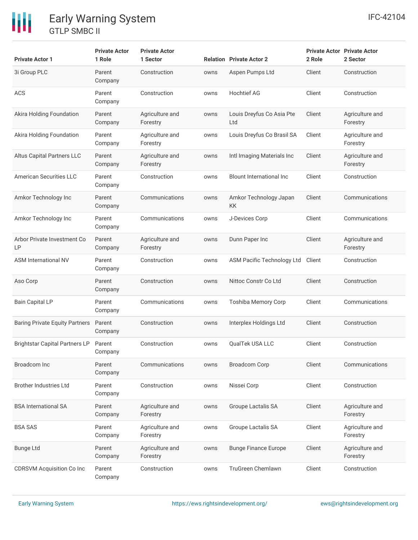## 冊 Early Warning System GTLP SMBC II

| <b>Private Actor 1</b>                | <b>Private Actor</b><br>1 Role | <b>Private Actor</b><br>1 Sector |      | <b>Relation Private Actor 2</b>  | <b>Private Actor Private Actor</b><br>2 Role | 2 Sector                    |
|---------------------------------------|--------------------------------|----------------------------------|------|----------------------------------|----------------------------------------------|-----------------------------|
| 3i Group PLC                          | Parent<br>Company              | Construction                     | owns | Aspen Pumps Ltd                  | Client                                       | Construction                |
| ACS                                   | Parent<br>Company              | Construction                     | owns | <b>Hochtief AG</b>               | Client                                       | Construction                |
| Akira Holding Foundation              | Parent<br>Company              | Agriculture and<br>Forestry      | owns | Louis Dreyfus Co Asia Pte<br>Ltd | Client                                       | Agriculture and<br>Forestry |
| Akira Holding Foundation              | Parent<br>Company              | Agriculture and<br>Forestry      | owns | Louis Dreyfus Co Brasil SA       | Client                                       | Agriculture and<br>Forestry |
| Altus Capital Partners LLC            | Parent<br>Company              | Agriculture and<br>Forestry      | owns | Intl Imaging Materials Inc       | Client                                       | Agriculture and<br>Forestry |
| <b>American Securities LLC</b>        | Parent<br>Company              | Construction                     | owns | <b>Blount International Inc</b>  | Client                                       | Construction                |
| Amkor Technology Inc                  | Parent<br>Company              | Communications                   | owns | Amkor Technology Japan<br>KK     | Client                                       | Communications              |
| Amkor Technology Inc                  | Parent<br>Company              | Communications                   | owns | J-Devices Corp                   | Client                                       | Communications              |
| Arbor Private Investment Co<br>LP     | Parent<br>Company              | Agriculture and<br>Forestry      | owns | Dunn Paper Inc                   | Client                                       | Agriculture and<br>Forestry |
| <b>ASM International NV</b>           | Parent<br>Company              | Construction                     | owns | ASM Pacific Technology Ltd       | Client                                       | Construction                |
| Aso Corp                              | Parent<br>Company              | Construction                     | owns | Nittoc Constr Co Ltd             | Client                                       | Construction                |
| <b>Bain Capital LP</b>                | Parent<br>Company              | Communications                   | owns | <b>Toshiba Memory Corp</b>       | Client                                       | Communications              |
| <b>Baring Private Equity Partners</b> | Parent<br>Company              | Construction                     | owns | Interplex Holdings Ltd           | Client                                       | Construction                |
| Brightstar Capital Partners LP Parent | Company                        | Construction                     | owns | <b>OualTek USA LLC</b>           | Client                                       | Construction                |
| Broadcom Inc                          | Parent<br>Company              | Communications                   | owns | <b>Broadcom Corp</b>             | Client                                       | Communications              |
| <b>Brother Industries Ltd</b>         | Parent<br>Company              | Construction                     | owns | Nissei Corp                      | Client                                       | Construction                |
| <b>BSA International SA</b>           | Parent<br>Company              | Agriculture and<br>Forestry      | owns | Groupe Lactalis SA               | Client                                       | Agriculture and<br>Forestry |
| <b>BSA SAS</b>                        | Parent<br>Company              | Agriculture and<br>Forestry      | owns | Groupe Lactalis SA               | Client                                       | Agriculture and<br>Forestry |
| <b>Bunge Ltd</b>                      | Parent<br>Company              | Agriculture and<br>Forestry      | owns | <b>Bunge Finance Europe</b>      | Client                                       | Agriculture and<br>Forestry |
| <b>CDRSVM Acquisition Co Inc</b>      | Parent<br>Company              | Construction                     | owns | TruGreen Chemlawn                | Client                                       | Construction                |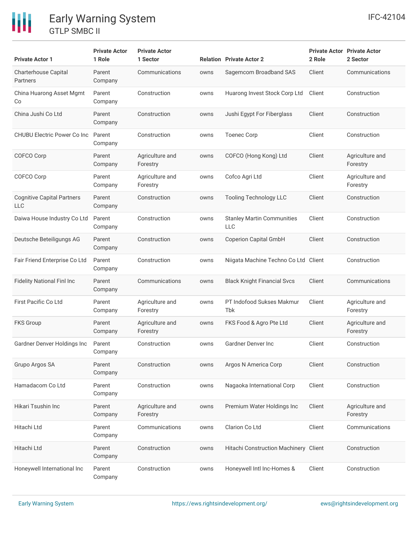# Early Warning System GTLP SMBC II

冊

| <b>Private Actor 1</b>                          | <b>Private Actor</b><br>1 Role | <b>Private Actor</b><br>1 Sector |      | <b>Relation Private Actor 2</b>                 | 2 Role | <b>Private Actor Private Actor</b><br>2 Sector |
|-------------------------------------------------|--------------------------------|----------------------------------|------|-------------------------------------------------|--------|------------------------------------------------|
| Charterhouse Capital<br>Partners                | Parent<br>Company              | Communications                   | owns | Sagemcom Broadband SAS                          | Client | Communications                                 |
| China Huarong Asset Mgmt<br>Co                  | Parent<br>Company              | Construction                     | owns | Huarong Invest Stock Corp Ltd                   | Client | Construction                                   |
| China Jushi Co Ltd                              | Parent<br>Company              | Construction                     | owns | Jushi Egypt For Fiberglass                      | Client | Construction                                   |
| <b>CHUBU Electric Power Co Inc.</b>             | Parent<br>Company              | Construction                     | owns | <b>Toenec Corp</b>                              | Client | Construction                                   |
| COFCO Corp                                      | Parent<br>Company              | Agriculture and<br>Forestry      | owns | COFCO (Hong Kong) Ltd                           | Client | Agriculture and<br>Forestry                    |
| COFCO Corp                                      | Parent<br>Company              | Agriculture and<br>Forestry      | owns | Cofco Agri Ltd                                  | Client | Agriculture and<br>Forestry                    |
| <b>Cognitive Capital Partners</b><br><b>LLC</b> | Parent<br>Company              | Construction                     | owns | <b>Tooling Technology LLC</b>                   | Client | Construction                                   |
| Daiwa House Industry Co Ltd                     | Parent<br>Company              | Construction                     | owns | <b>Stanley Martin Communities</b><br><b>LLC</b> | Client | Construction                                   |
| Deutsche Beteiligungs AG                        | Parent<br>Company              | Construction                     | owns | <b>Coperion Capital GmbH</b>                    | Client | Construction                                   |
| Fair Friend Enterprise Co Ltd                   | Parent<br>Company              | Construction                     | owns | Niigata Machine Techno Co Ltd                   | Client | Construction                                   |
| <b>Fidelity National Finl Inc</b>               | Parent<br>Company              | Communications                   | owns | <b>Black Knight Financial Svcs</b>              | Client | Communications                                 |
| <b>First Pacific Co Ltd</b>                     | Parent<br>Company              | Agriculture and<br>Forestry      | owns | PT Indofood Sukses Makmur<br>Tbk                | Client | Agriculture and<br>Forestry                    |
| <b>FKS Group</b>                                | Parent<br>Company              | Agriculture and<br>Forestry      | owns | FKS Food & Agro Pte Ltd                         | Client | Agriculture and<br>Forestry                    |
| Gardner Denver Holdings Inc                     | Parent<br>Company              | Construction                     | owns | Gardner Denver Inc                              | Client | Construction                                   |
| Grupo Argos SA                                  | Parent<br>Company              | Construction                     | owns | Argos N America Corp                            | Client | Construction                                   |
| Hamadacom Co Ltd                                | Parent<br>Company              | Construction                     | owns | Nagaoka International Corp                      | Client | Construction                                   |
| Hikari Tsushin Inc                              | Parent<br>Company              | Agriculture and<br>Forestry      | owns | Premium Water Holdings Inc                      | Client | Agriculture and<br>Forestry                    |
| Hitachi Ltd                                     | Parent<br>Company              | Communications                   | owns | Clarion Co Ltd                                  | Client | Communications                                 |
| Hitachi Ltd                                     | Parent<br>Company              | Construction                     | owns | Hitachi Construction Machinery Client           |        | Construction                                   |
| Honeywell International Inc                     | Parent<br>Company              | Construction                     | owns | Honeywell Intl Inc-Homes &                      | Client | Construction                                   |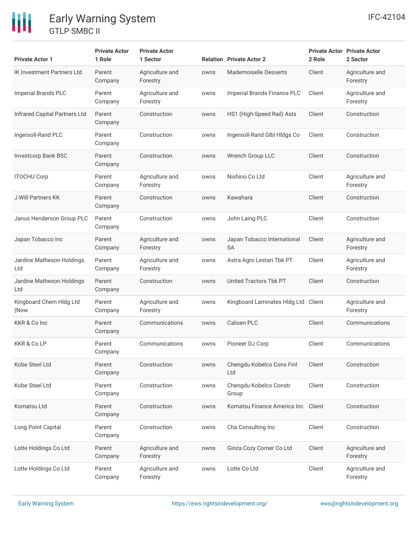# Early Warning System GTLP SMBC II

冊

| <b>Private Actor 1</b>               | <b>Private Actor</b><br>1 Role | <b>Private Actor</b><br>1 Sector |      | <b>Relation</b> Private Actor 2          | 2 Role | <b>Private Actor Private Actor</b><br>2 Sector |
|--------------------------------------|--------------------------------|----------------------------------|------|------------------------------------------|--------|------------------------------------------------|
| <b>IK Investment Partners Ltd</b>    | Parent<br>Company              | Agriculture and<br>Forestry      | owns | <b>Mademoiselle Desserts</b>             | Client | Agriculture and<br>Forestry                    |
| <b>Imperial Brands PLC</b>           | Parent<br>Company              | Agriculture and<br>Forestry      | owns | Imperial Brands Finance PLC              | Client | Agriculture and<br>Forestry                    |
| <b>Infrared Capital Partners Ltd</b> | Parent<br>Company              | Construction                     | owns | HS1 (High-Speed Rail) Asts               | Client | Construction                                   |
| Ingersoll-Rand PLC                   | Parent<br>Company              | Construction                     | owns | Ingersoll-Rand Glbl Hldgs Co             | Client | Construction                                   |
| <b>Investcorp Bank BSC</b>           | Parent<br>Company              | Construction                     | owns | Wrench Group LLC                         | Client | Construction                                   |
| <b>ITOCHU Corp</b>                   | Parent<br>Company              | Agriculture and<br>Forestry      | owns | Nishino Co Ltd                           | Client | Agriculture and<br>Forestry                    |
| J Will Partners KK                   | Parent<br>Company              | Construction                     | owns | Kawahara                                 | Client | Construction                                   |
| Janus Henderson Group PLC            | Parent<br>Company              | Construction                     | owns | John Laing PLC                           | Client | Construction                                   |
| Japan Tobacco Inc                    | Parent<br>Company              | Agriculture and<br>Forestry      | owns | Japan Tobacco International<br><b>SA</b> | Client | Agriculture and<br>Forestry                    |
| Jardine Matheson Holdings<br>Ltd     | Parent<br>Company              | Agriculture and<br>Forestry      | owns | Astra Agro Lestari Tbk PT                | Client | Agriculture and<br>Forestry                    |
| Jardine Matheson Holdings<br>Ltd     | Parent<br>Company              | Construction                     | owns | United Tractors Tbk PT                   | Client | Construction                                   |
| Kingboard Chem Hldg Ltd<br>(Now      | Parent<br>Company              | Agriculture and<br>Forestry      | owns | Kingboard Laminates Hldg Ltd Client      |        | Agriculture and<br>Forestry                    |
| KKR & Co Inc                         | Parent<br>Company              | Communications                   | owns | Calisen PLC                              | Client | Communications                                 |
| <b>KKR &amp; Co LP</b>               | Parent<br>Company              | Communications                   | owns | Pioneer DJ Corp                          | Client | Communications                                 |
| Kobe Steel Ltd                       | Parent<br>Company              | Construction                     | owns | Chengdu Kobelco Cons Finl<br>Ltd         | Client | Construction                                   |
| Kobe Steel Ltd                       | Parent<br>Company              | Construction                     | owns | Chengdu Kobelco Constr<br>Group          | Client | Construction                                   |
| Komatsu Ltd                          | Parent<br>Company              | Construction                     | owns | Komatsu Finance America Inc              | Client | Construction                                   |
| Long Point Capital                   | Parent<br>Company              | Construction                     | owns | Cha Consulting Inc                       | Client | Construction                                   |
| Lotte Holdings Co Ltd                | Parent<br>Company              | Agriculture and<br>Forestry      | owns | Ginza Cozy Corner Co Ltd                 | Client | Agriculture and<br>Forestry                    |
| Lotte Holdings Co Ltd                | Parent<br>Company              | Agriculture and<br>Forestry      | owns | Lotte Co Ltd                             | Client | Agriculture and<br>Forestry                    |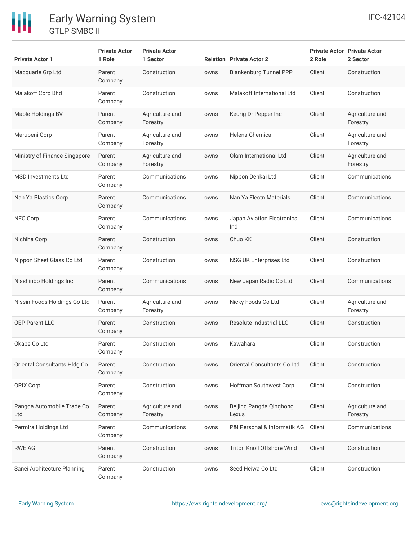# 冊

## Early Warning System GTLP SMBC II

| <b>Private Actor 1</b>            | <b>Private Actor</b><br>1 Role | <b>Private Actor</b><br>1 Sector |      | <b>Relation Private Actor 2</b>   | 2 Role | <b>Private Actor Private Actor</b><br>2 Sector |
|-----------------------------------|--------------------------------|----------------------------------|------|-----------------------------------|--------|------------------------------------------------|
| Macquarie Grp Ltd                 | Parent<br>Company              | Construction                     | owns | <b>Blankenburg Tunnel PPP</b>     | Client | Construction                                   |
| Malakoff Corp Bhd                 | Parent<br>Company              | Construction                     | owns | Malakoff International Ltd        | Client | Construction                                   |
| Maple Holdings BV                 | Parent<br>Company              | Agriculture and<br>Forestry      | owns | Keurig Dr Pepper Inc              | Client | Agriculture and<br>Forestry                    |
| Marubeni Corp                     | Parent<br>Company              | Agriculture and<br>Forestry      | owns | Helena Chemical                   | Client | Agriculture and<br>Forestry                    |
| Ministry of Finance Singapore     | Parent<br>Company              | Agriculture and<br>Forestry      | owns | Olam International Ltd            | Client | Agriculture and<br>Forestry                    |
| <b>MSD Investments Ltd</b>        | Parent<br>Company              | Communications                   | owns | Nippon Denkai Ltd                 | Client | Communications                                 |
| Nan Ya Plastics Corp              | Parent<br>Company              | Communications                   | owns | Nan Ya Electn Materials           | Client | Communications                                 |
| <b>NEC Corp</b>                   | Parent<br>Company              | Communications                   | owns | Japan Aviation Electronics<br>Ind | Client | Communications                                 |
| Nichiha Corp                      | Parent<br>Company              | Construction                     | owns | Chuo KK                           | Client | Construction                                   |
| Nippon Sheet Glass Co Ltd         | Parent<br>Company              | Construction                     | owns | <b>NSG UK Enterprises Ltd</b>     | Client | Construction                                   |
| Nisshinbo Holdings Inc            | Parent<br>Company              | Communications                   | owns | New Japan Radio Co Ltd            | Client | Communications                                 |
| Nissin Foods Holdings Co Ltd      | Parent<br>Company              | Agriculture and<br>Forestry      | owns | Nicky Foods Co Ltd                | Client | Agriculture and<br>Forestry                    |
| <b>OEP Parent LLC</b>             | Parent<br>Company              | Construction                     | owns | Resolute Industrial LLC           | Client | Construction                                   |
| Okabe Co Ltd                      | Parent<br>Company              | Construction                     | owns | Kawahara                          | Client | Construction                                   |
| Oriental Consultants Hldg Co      | Parent<br>Company              | Construction                     | owns | Oriental Consultants Co Ltd       | Client | Construction                                   |
| ORIX Corp                         | Parent<br>Company              | Construction                     | owns | Hoffman Southwest Corp            | Client | Construction                                   |
| Pangda Automobile Trade Co<br>Ltd | Parent<br>Company              | Agriculture and<br>Forestry      | owns | Beijing Pangda Qinghong<br>Lexus  | Client | Agriculture and<br>Forestry                    |
| Permira Holdings Ltd              | Parent<br>Company              | Communications                   | owns | P&I Personal & Informatik AG      | Client | Communications                                 |
| <b>RWE AG</b>                     | Parent<br>Company              | Construction                     | owns | Triton Knoll Offshore Wind        | Client | Construction                                   |
| Sanei Architecture Planning       | Parent<br>Company              | Construction                     | owns | Seed Heiwa Co Ltd                 | Client | Construction                                   |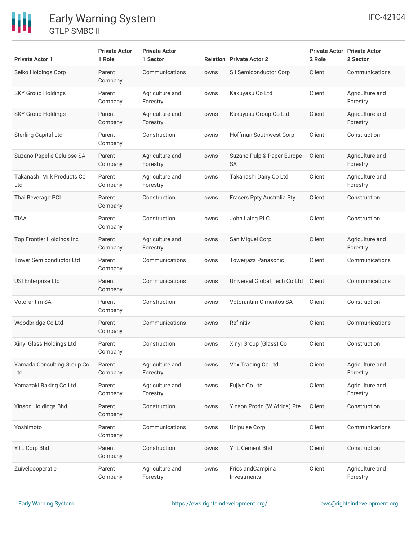

## Early Warning System GTLP SMBC II

| <b>Private Actor 1</b>            | <b>Private Actor</b><br>1 Role | <b>Private Actor</b><br>1 Sector |      | <b>Relation Private Actor 2</b>         | <b>Private Actor Private Actor</b><br>2 Role | 2 Sector                    |
|-----------------------------------|--------------------------------|----------------------------------|------|-----------------------------------------|----------------------------------------------|-----------------------------|
| Seiko Holdings Corp               | Parent<br>Company              | Communications                   | owns | SII Semiconductor Corp                  | Client                                       | Communications              |
| <b>SKY Group Holdings</b>         | Parent<br>Company              | Agriculture and<br>Forestry      | owns | Kakuyasu Co Ltd                         | Client                                       | Agriculture and<br>Forestry |
| <b>SKY Group Holdings</b>         | Parent<br>Company              | Agriculture and<br>Forestry      | owns | Kakuyasu Group Co Ltd                   | Client                                       | Agriculture and<br>Forestry |
| <b>Sterling Capital Ltd</b>       | Parent<br>Company              | Construction                     | owns | Hoffman Southwest Corp                  | Client                                       | Construction                |
| Suzano Papel e Celulose SA        | Parent<br>Company              | Agriculture and<br>Forestry      | owns | Suzano Pulp & Paper Europe<br><b>SA</b> | Client                                       | Agriculture and<br>Forestry |
| Takanashi Milk Products Co<br>Ltd | Parent<br>Company              | Agriculture and<br>Forestry      | owns | Takanashi Dairy Co Ltd                  | Client                                       | Agriculture and<br>Forestry |
| Thai Beverage PCL                 | Parent<br>Company              | Construction                     | owns | Frasers Ppty Australia Pty              | Client                                       | Construction                |
| <b>TIAA</b>                       | Parent<br>Company              | Construction                     | owns | John Laing PLC                          | Client                                       | Construction                |
| Top Frontier Holdings Inc         | Parent<br>Company              | Agriculture and<br>Forestry      | owns | San Miguel Corp                         | Client                                       | Agriculture and<br>Forestry |
| <b>Tower Semiconductor Ltd</b>    | Parent<br>Company              | Communications                   | owns | Towerjazz Panasonic                     | Client                                       | Communications              |
| <b>USI Enterprise Ltd</b>         | Parent<br>Company              | Communications                   | owns | Universal Global Tech Co Ltd            | Client                                       | Communications              |
| Votorantim SA                     | Parent<br>Company              | Construction                     | owns | <b>Votorantim Cimentos SA</b>           | Client                                       | Construction                |
| Woodbridge Co Ltd                 | Parent<br>Company              | Communications                   | owns | Refinitiv                               | Client                                       | Communications              |
| Xinyi Glass Holdings Ltd          | Parent<br>Company              | Construction                     | owns | Xinyi Group (Glass) Co                  | Client                                       | Construction                |
| Yamada Consulting Group Co<br>Ltd | Parent<br>Company              | Agriculture and<br>Forestry      | owns | Vox Trading Co Ltd                      | Client                                       | Agriculture and<br>Forestry |
| Yamazaki Baking Co Ltd            | Parent<br>Company              | Agriculture and<br>Forestry      | owns | Fujiya Co Ltd                           | Client                                       | Agriculture and<br>Forestry |
| Yinson Holdings Bhd               | Parent<br>Company              | Construction                     | owns | Yinson Prodn (W Africa) Pte             | Client                                       | Construction                |
| Yoshimoto                         | Parent<br>Company              | Communications                   | owns | Unipulse Corp                           | Client                                       | Communications              |
| <b>YTL Corp Bhd</b>               | Parent<br>Company              | Construction                     | owns | <b>YTL Cement Bhd</b>                   | Client                                       | Construction                |
| Zuivelcooperatie                  | Parent<br>Company              | Agriculture and<br>Forestry      | owns | FrieslandCampina<br>Investments         | Client                                       | Agriculture and<br>Forestry |